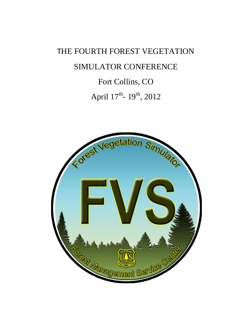# THE FOURTH FOREST VEGETATION SIMULATOR CONFERENCE Fort Collins, CO

April  $17^{\text{th}}$ -  $19^{\text{th}}$ ,  $2012$ 

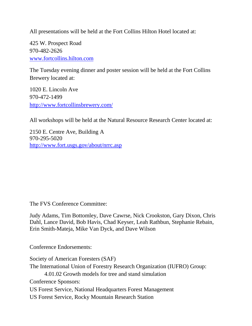All presentations will be held at the Fort Collins Hilton Hotel located at:

425 W. Prospect Road 970-482-2626 [www.fortcollins.hilton.com](http://www.fortcollins.hilton.com/)

The Tuesday evening dinner and poster session will be held at the Fort Collins Brewery located at:

1020 E. Lincoln Ave 970-472-1499 <http://www.fortcollinsbrewery.com/>

All workshops will be held at the Natural Resource Research Center located at:

2150 E. Centre Ave, Building A 970-295-5020 <http://www.fort.usgs.gov/about/nrrc.asp>

The FVS Conference Committee:

Judy Adams, Tim Bottomley, Dave Cawrse, Nick Crookston, Gary Dixon, Chris Dahl, Lance David, Bob Havis, Chad Keyser, Leah Rathbun, Stephanie Rebain, Erin Smith-Mateja, Mike Van Dyck, and Dave Wilson

Conference Endorsements:

Society of American Foresters (SAF) The International Union of Forestry Research Organization (IUFRO) Group: 4.01.02 Growth models for tree and stand simulation Conference Sponsors: US Forest Service, National Headquarters Forest Management US Forest Service, Rocky Mountain Research Station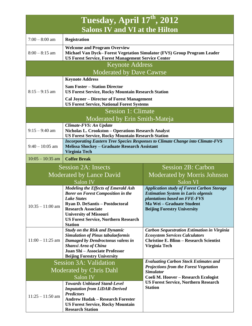| Tuesday, April 17th, 2012             |                                                                                                                                                                                                                                                                                 |                                                                                                                                                                                                    |  |  |  |  |
|---------------------------------------|---------------------------------------------------------------------------------------------------------------------------------------------------------------------------------------------------------------------------------------------------------------------------------|----------------------------------------------------------------------------------------------------------------------------------------------------------------------------------------------------|--|--|--|--|
| <b>Salons IV and VI at the Hilton</b> |                                                                                                                                                                                                                                                                                 |                                                                                                                                                                                                    |  |  |  |  |
| $7:00 - 8:00$ am                      | <b>Registration</b>                                                                                                                                                                                                                                                             |                                                                                                                                                                                                    |  |  |  |  |
| $8:00 - 8:15$ am                      | <b>Welcome and Program Overview</b><br>Michael Van Dyck-Forest Vegetation Simulator (FVS) Group Program Leader<br><b>US Forest Service, Forest Management Service Center</b>                                                                                                    |                                                                                                                                                                                                    |  |  |  |  |
|                                       | <b>Keynote Address</b>                                                                                                                                                                                                                                                          |                                                                                                                                                                                                    |  |  |  |  |
| Moderated by Dave Cawrse              |                                                                                                                                                                                                                                                                                 |                                                                                                                                                                                                    |  |  |  |  |
|                                       | <b>Keynote Address</b>                                                                                                                                                                                                                                                          |                                                                                                                                                                                                    |  |  |  |  |
| $8:15 - 9:15$ am                      | <b>Sam Foster – Station Director</b><br><b>US Forest Service, Rocky Mountain Research Station</b>                                                                                                                                                                               |                                                                                                                                                                                                    |  |  |  |  |
|                                       | <b>Cal Joyner – Director of Forest Management</b><br><b>US Forest Service, National Forest Systems</b>                                                                                                                                                                          |                                                                                                                                                                                                    |  |  |  |  |
|                                       | <b>Session 1: Climate</b>                                                                                                                                                                                                                                                       |                                                                                                                                                                                                    |  |  |  |  |
|                                       | Moderated by Erin Smith-Mateja                                                                                                                                                                                                                                                  |                                                                                                                                                                                                    |  |  |  |  |
| $9:15 - 9:40$ am                      | Climate-FVS: An Update<br>Nicholas L. Crookston - Operations Research Analyst<br><b>US Forest Service, Rocky Mountain Research Station</b>                                                                                                                                      |                                                                                                                                                                                                    |  |  |  |  |
| $9:40 - 10:05$ am                     | <b>Incorporating Eastern Tree Species Responses to Climate Change into Climate-FVS</b><br><b>Melissa Shockey - Graduate Research Assistant</b><br>Virginia Tech                                                                                                                 |                                                                                                                                                                                                    |  |  |  |  |
| $10:05 - 10:35$ am                    | <b>Coffee Break</b>                                                                                                                                                                                                                                                             |                                                                                                                                                                                                    |  |  |  |  |
|                                       | <b>Session 2A: Insects</b>                                                                                                                                                                                                                                                      | <b>Session 2B: Carbon</b>                                                                                                                                                                          |  |  |  |  |
|                                       | Moderated by Lance David                                                                                                                                                                                                                                                        | Moderated by Morris Johnson                                                                                                                                                                        |  |  |  |  |
|                                       | Salon IV                                                                                                                                                                                                                                                                        | Salon VI                                                                                                                                                                                           |  |  |  |  |
| $10:35 - 11:00$ am                    | <b>Modeling the Effects of Emerald Ash</b><br><b>Borer on Forest Composition in the</b><br>Lake States<br><b>Ryan D. DeSantis - Postdoctoral</b><br><b>Research Associate</b><br><b>University of Missouri</b><br><b>US Forest Service, Northern Research</b><br><b>Station</b> | <b>Application study of Forest Carbon Storage</b><br><b>Estimation System in Larix olgensis</b><br>plantations based on FFE-FVS<br>Ma Wei - Graduate Student<br><b>Beijing Forestry University</b> |  |  |  |  |
| $11:00 - 11:25$ am                    | <b>Study on the Risk and Dynamic</b><br><b>Simulation of Pinus tabulaeformis</b><br>Damaged by Dendroctonus valens in<br>Shanxi Area of China<br>Juan Shi - Associate Professor<br><b>Beijing Forestry University</b>                                                           | <b>Carbon Sequestration Estimation in Virginia</b><br><b>Ecosystem Services Calculators</b><br><b>Christine E. Blinn - Research Scientist</b><br>Virginia Tech                                     |  |  |  |  |
|                                       | <b>Session 3A: Validation</b>                                                                                                                                                                                                                                                   | <b>Evaluating Carbon Stock Estimates and</b>                                                                                                                                                       |  |  |  |  |
| Moderated by Chris Dahl               |                                                                                                                                                                                                                                                                                 | <b>Projections from the Forest Vegetation</b><br><b>Simulator</b>                                                                                                                                  |  |  |  |  |
| Salon IV                              |                                                                                                                                                                                                                                                                                 | Coeli M. Hoover - Research Ecologist                                                                                                                                                               |  |  |  |  |
| $11:25 - 11:50$ am                    | <b>Towards Unbiased Stand-Level</b><br><b>Imputation from LiDAR-Derived</b><br><b>Predictors</b><br><b>Andrew Hudak - Research Forester</b><br><b>US Forest Service, Rocky Mountain</b><br><b>Research Station</b>                                                              | <b>US Forest Service, Northern Research</b><br><b>Station</b>                                                                                                                                      |  |  |  |  |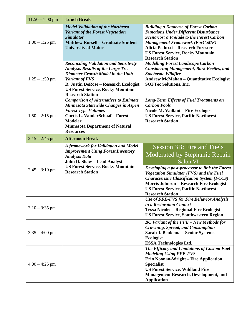| $11:50 - 1:00$ pm | <b>Lunch Break</b>                                                                                                                                                                                                                                                |                                                                                                                                                                                                                                                                                                                                                                       |  |  |
|-------------------|-------------------------------------------------------------------------------------------------------------------------------------------------------------------------------------------------------------------------------------------------------------------|-----------------------------------------------------------------------------------------------------------------------------------------------------------------------------------------------------------------------------------------------------------------------------------------------------------------------------------------------------------------------|--|--|
| $1:00 - 1:25$ pm  | <b>Model Validation of the Northeast</b><br>Variant of the Forest Vegetation<br><b>Simulator</b><br><b>Matthew Russell - Graduate Student</b><br><b>University of Maine</b>                                                                                       | <b>Building a Database of Forest Carbon</b><br><b>Functions Under Different Disturbance</b><br><b>Scenarios: a Prelude to the Forest Carbon</b><br><b>Management Framework (ForCaMF)</b><br>Alicia Peduzzi - Research Forester<br><b>US Forest Service, Rocky Mountain</b><br><b>Research Station</b>                                                                 |  |  |
| $1:25 - 1:50$ pm  | <b>Reconciling Validation and Sensitivity</b><br><b>Analysis Results of the Large Tree</b><br>Diameter Growth Model in the Utah<br>Variant of FVS<br>R. Justin DeRose - Research Ecologist<br><b>US Forest Service, Rocky Mountain</b><br><b>Research Station</b> | <b>Modelling Forest Landscape Carbon</b><br><b>Considering Management, Bark Beetles, and</b><br><b>Stochastic Wildfire</b><br><b>Andrew McMahan - Quantitative Ecologist</b><br><b>SOFTec Solutions, Inc.</b>                                                                                                                                                         |  |  |
| $1:50 - 2:15$ pm  | <b>Comparison of Alternatives to Estimate</b><br>Minnesota Statewide Changes in Aspen<br><b>Forest Type Volumes</b><br><b>Curtis L. VanderSchaaf - Forest</b><br><b>Modeler</b><br><b>Minnesota Department of Natural</b><br><b>Resources</b>                     | <b>Long-Term Effects of Fuel Treatments on</b><br><b>Carbon Pools</b><br>Nicole M. Vaillant - Fire Ecologist<br><b>US Forest Service, Pacific Northwest</b><br><b>Research Station</b>                                                                                                                                                                                |  |  |
| $2:15 - 2:45$ pm  | <b>Afternoon Break</b>                                                                                                                                                                                                                                            |                                                                                                                                                                                                                                                                                                                                                                       |  |  |
| $2:45 - 3:10$ pm  | A framework for Validation and Model<br><b>Improvement Using Forest Inventory</b><br><b>Analysis Data</b><br>John D. Shaw - Lead Analyst<br><b>US Forest Service, Rocky Mountain</b><br><b>Research Station</b>                                                   | <b>Session 3B: Fire and Fuels</b><br>Moderated by Stephanie Rebain<br>Salon VI<br>Developing a post-processor to link the Forest<br><b>Vegetation Simulator (FVS) and the Fuel</b><br><b>Characteristic Classification System (FCCS)</b><br><b>Morris Johnson - Research Fire Ecologist</b><br><b>US Forest Service, Pacific Northwest</b><br><b>Research Station</b> |  |  |
| $3:10 - 3:35$ pm  |                                                                                                                                                                                                                                                                   | Use of FFE-FVS for Fire Behavior Analysis<br>in a Restoration Context<br><b>Tessa Nicolet - Regional Fire Ecologist</b><br><b>US Forest Service, Southwestern Region</b>                                                                                                                                                                                              |  |  |
| $3:35 - 4:00$ pm  |                                                                                                                                                                                                                                                                   | <b>BC Variant of the FFE - New Methods for</b><br><b>Crowning, Spread, and Consumption</b><br>Sarah J. Beukema - Senior Systems<br><b>Ecologist</b><br><b>ESSA Technologies Ltd.</b>                                                                                                                                                                                  |  |  |
| $4:00 - 4:25$ pm  |                                                                                                                                                                                                                                                                   | The Efficacy and Limitations of Custom Fuel<br><b>Modeling Using FFE-FVS</b><br><b>Erin Noonan-Wright – Fire Application</b><br><b>Specialist</b><br><b>US Forest Service, Wildland Fire</b><br><b>Management Research, Development, and</b><br><b>Application</b>                                                                                                    |  |  |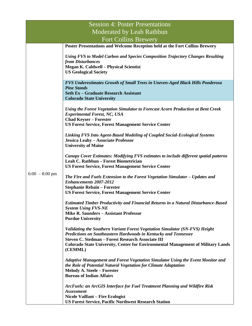|                             | <b>Session 4: Poster Presentations</b>                                                                                                                                                                                                                                                                           |  |  |  |  |
|-----------------------------|------------------------------------------------------------------------------------------------------------------------------------------------------------------------------------------------------------------------------------------------------------------------------------------------------------------|--|--|--|--|
| Moderated by Leah Rathbun   |                                                                                                                                                                                                                                                                                                                  |  |  |  |  |
| <b>Fort Collins Brewery</b> |                                                                                                                                                                                                                                                                                                                  |  |  |  |  |
|                             | Poster Presentations and Welcome Reception held at the Fort Collins Brewery                                                                                                                                                                                                                                      |  |  |  |  |
| $6:00 - 8:00$ pm            | <b>Using FVS to Model Carbon and Species Composition Trajectory Changes Resulting</b><br>from Disturbances<br><b>Megan K. Caldwell - Physical Scientist</b><br><b>US Geological Society</b>                                                                                                                      |  |  |  |  |
|                             | <b>FVS Underestimates Growth of Small Trees in Uneven-Aged Black Hills Ponderosa</b><br><b>Pine Stands</b><br><b>Seth Ex - Graduate Research Assistant</b><br><b>Colorado State University</b>                                                                                                                   |  |  |  |  |
|                             | Using the Forest Vegetation Simulator to Forecast Acorn Production at Bent Creek<br><b>Experimental Forest, NC, USA</b><br><b>Chad Keyser - Forester</b><br><b>US Forest Service, Forest Management Service Center</b>                                                                                           |  |  |  |  |
|                             | Linking FVS Into Agent-Based Modeling of Coupled Social-Ecological Systems<br>Jessica Leahy - Associate Professor<br><b>University of Maine</b>                                                                                                                                                                  |  |  |  |  |
|                             | Canopy Cover Estimates: Modifying FVS estimates to include different spatial patterns<br>Leah C. Rathbun - Forest Biometrician<br><b>US Forest Service, Forest Management Service Center</b>                                                                                                                     |  |  |  |  |
|                             | The Fire and Fuels Extension to the Forest Vegetation Simulator – Updates and<br><b>Enhancements 2007-2012</b><br><b>Stephanie Rebain - Forester</b><br><b>US Forest Service, Forest Management Service Center</b>                                                                                               |  |  |  |  |
|                             | <b>Estimated Timber Productivity and Financial Returns in a Natural Disturbance-Based</b><br><b>System Using FVS-NE</b><br><b>Mike R. Saunders - Assistant Professor</b><br><b>Purdue University</b>                                                                                                             |  |  |  |  |
|                             | Validating the Southern Variant Forest Vegetation Simulator (SN-FVS) Height<br>Predictions on Southeastern Hardwoods in Kentucky and Tennessee<br><b>Steven C. Stedman - Forest Research Associate III</b><br><b>Colorado State University, Center for Environmental Management of Military Lands</b><br>(CEMML) |  |  |  |  |
|                             | <b>Adaptive Management and Forest Vegetation Simulator Using the Event Monitor and</b><br>the Role of Potential Natural Vegetation for Climate Adaptation<br><b>Melody A. Steele - Forester</b><br><b>Bureau of Indian Affairs</b>                                                                               |  |  |  |  |
|                             | ArcFuels: an ArcGIS Interface for Fuel Treatment Planning and Wildfire Risk<br><b>Assessment</b><br><b>Nicole Vaillant – Fire Ecologist</b><br><b>US Forest Service, Pacific Northwest Research Station</b>                                                                                                      |  |  |  |  |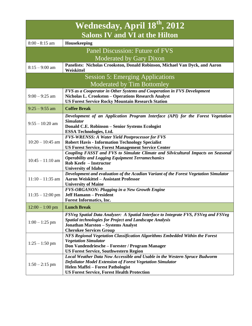| Wednesday, April 18th, 2012           |                                                                                                                                                                                                                                           |  |  |  |
|---------------------------------------|-------------------------------------------------------------------------------------------------------------------------------------------------------------------------------------------------------------------------------------------|--|--|--|
| <b>Salons IV and VI at the Hilton</b> |                                                                                                                                                                                                                                           |  |  |  |
| $8:00 - 8:15$ am                      | Housekeeping                                                                                                                                                                                                                              |  |  |  |
|                                       | Panel Discussion: Future of FVS                                                                                                                                                                                                           |  |  |  |
| Moderated by Gary Dixon               |                                                                                                                                                                                                                                           |  |  |  |
| $8:15 - 9:00$ am                      | Panelists: Nicholas Crookston, Donald Robinson, Michael Van Dyck, and Aaron<br>Weiskittel                                                                                                                                                 |  |  |  |
|                                       | <b>Session 5: Emerging Applications</b>                                                                                                                                                                                                   |  |  |  |
|                                       | <b>Moderated by Tim Bottomley</b>                                                                                                                                                                                                         |  |  |  |
| $9:00 - 9:25$ am                      | FVS as a Cooperator in Other Systems and Cooperation in FVS Development<br>Nicholas L. Crookston - Operations Research Analyst<br><b>US Forest Service Rocky Mountain Research Station</b>                                                |  |  |  |
| $9:25 - 9:55$ am                      | <b>Coffee Break</b>                                                                                                                                                                                                                       |  |  |  |
| $9:55 - 10:20$ am                     | Development of an Application Program Interface (API) for the Forest Vegetation<br><b>Simulator</b><br>Donald C.E. Robinson - Senior Systems Ecologist<br><b>ESSA Technologies, Ltd.</b>                                                  |  |  |  |
| $10:20 - 10:45$ am                    | <b>FVS-WRENSS: A Water Yield Postprocessor for FVS</b><br><b>Robert Havis - Information Technology Specialist</b><br><b>US Forest Service, Forest Management Service Center</b>                                                           |  |  |  |
| $10:45 - 11:10$ am                    | Coupling FASST and FVS to Simulate Climate and Silvicultural Impacts on Seasonal<br><b>Operability and Logging Equipment Terramechanics</b><br>Rob Keefe - Instructor<br><b>University of Idaho</b>                                       |  |  |  |
| $11:10 - 11:35$ am                    | Development and evaluation of the Acadian Variant of the Forest Vegetation Simulator<br><b>Aaron Weiskittel - Assistant Professor</b><br><b>University of Maine</b>                                                                       |  |  |  |
| $11:35 - 12:00$ pm                    | <b>FVS-ORGANON: Plugging in a New Growth Engine</b><br><b>Jeff Hamann - President</b><br><b>Forest Informatics, Inc.</b>                                                                                                                  |  |  |  |
| $12:00 - 1:00$ pm                     | <b>Lunch Break</b>                                                                                                                                                                                                                        |  |  |  |
| $1:00 - 1:25$ pm                      | FSVeg Spatial Data Analyzer: A Spatial Interface to Integrate FVS, FSVeg and FSVeg<br><b>Spatial technologies for Project and Landscape Analysis</b><br><b>Jonathan Marston - Systems Analyst</b><br><b>Cherokee Services Group</b>       |  |  |  |
| $1:25 - 1:50$ pm                      | NFS Regional Vegetation Classification Algorithms Embedded Within the Forest<br><b>Vegetation Simulator</b><br>Don Vandendriesche – Forester / Program Manager<br><b>US Forest Service, Southwestern Region</b>                           |  |  |  |
| $1:50 - 2:15$ pm                      | Local Weather Data Now Accessible and Usable in the Western Spruce Budworm<br><b>Defoliator Model Extension of Forest Vegetation Simulator</b><br>Helen Maffei - Forest Pathologist<br><b>US Forest Service, Forest Health Protection</b> |  |  |  |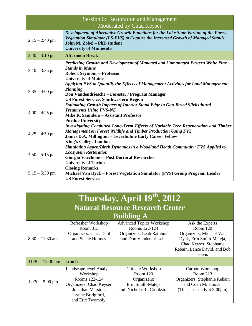| Session 6: Restoration and Management<br>Moderated by Chad Keyser |                                                                                                                                                                                                                                                            |  |  |
|-------------------------------------------------------------------|------------------------------------------------------------------------------------------------------------------------------------------------------------------------------------------------------------------------------------------------------------|--|--|
| $2:15 - 2:40$ pm                                                  | Development of Alternative Growth Equations for the Lake State Variant of the Forest<br>Vegetation Simulator (LS-FVS) to Capture the Increased Growth of Managed Stands<br>John M. Zobel - PhD student<br><b>University of Minnesota</b>                   |  |  |
| $2:40 - 3:10$ pm                                                  | <b>Afternoon Break</b>                                                                                                                                                                                                                                     |  |  |
| $3:10 - 3:35$ pm                                                  | Predicting Growth and Development of Managed and Unmanaged Eastern White Pine<br><b>Stands in Maine</b><br><b>Robert Seymour - Professor</b><br><b>University of Maine</b>                                                                                 |  |  |
| $3:35 - 4:00$ pm                                                  | Applying FVS to Quantify the Effects of Management Activities for Land Management<br>Planning<br>Don Vandendriesche – Forester / Program Manager<br><b>US Forest Service, Southwestern Region</b>                                                          |  |  |
| $4:00 - 4:25$ pm                                                  | <b>Estimating Growth Impacts of Interior Stand Edge in Gap-Based Silvicultural</b><br><b>Treatments Using FVS-NE</b><br>Mike R. Saunders - Assistant Professor<br><b>Purdue University</b>                                                                 |  |  |
| $4:25 - 4:50$ pm                                                  | Investigating Combined Long-Term Effects of Variable Tree Regeneration and Timber<br><b>Management on Forest Wildlife and Timber Production Using FVS</b><br><b>James D.A. Millington – Leverhulme Early Career Fellow</b><br><b>King's College London</b> |  |  |
| $4:50 - 5:15$ pm                                                  | Simulating Aspen/Birch Dynamics in a Woodland Heath Community: FVS Applied to<br><b>Ecosystem Restoration</b><br>Giorgio Vacchiano - Post Doctoral Researcher<br><b>University of Torino</b>                                                               |  |  |
| $5:15 - 5:30$ pm                                                  | <b>Closing Remarks</b><br>Michael Van Dyck – Forest Vegetation Simulator (FVS) Group Program Leader<br><b>US Forest Service</b>                                                                                                                            |  |  |

| Thursday, April 19th, 2012              |                                                                                                                                                 |                                                                                                        |                                                                                                                                                         |  |  |  |
|-----------------------------------------|-------------------------------------------------------------------------------------------------------------------------------------------------|--------------------------------------------------------------------------------------------------------|---------------------------------------------------------------------------------------------------------------------------------------------------------|--|--|--|
| <b>Natural Resource Research Center</b> |                                                                                                                                                 |                                                                                                        |                                                                                                                                                         |  |  |  |
| <b>Building A</b>                       |                                                                                                                                                 |                                                                                                        |                                                                                                                                                         |  |  |  |
| $8:30 - 11:30$ am                       | Refresher Workshop<br>Room 313<br>Organizers: Chris Dahl<br>and Stacie Holmes                                                                   | <b>Advanced Topics Workshop</b><br>Rooms 122-124<br>Organizers: Leah Rathbun<br>and Don Vandendriesche | Ask the Experts<br>Room $120$<br>Organizers: Michael Van<br>Dyck, Erin Smith-Mateja,<br>Chad Keyser, Stephanie<br>Rebain, Lance David, and Bob<br>Havis |  |  |  |
| $11:30 - 12:30$ pm                      | Lunch                                                                                                                                           |                                                                                                        |                                                                                                                                                         |  |  |  |
| $12:30 - 5:00$ pm                       | Landscape-level Analysis<br>Workshop<br>Rooms 122-124<br>Organizers: Chad Keyser,<br>Jonathan Marston,<br>Lynne Bridgford,<br>and Eric Twombly, | Climate Workshop<br>Room $120$<br>Organizers:<br>Erin Smith-Mateja<br>and Nicholas L. Crookston        | Carbon Workshop<br>Room 313<br>Organizers: Stephanie Rebain<br>and Coeli M. Hoover<br>(This class ends at 3:00pm)                                       |  |  |  |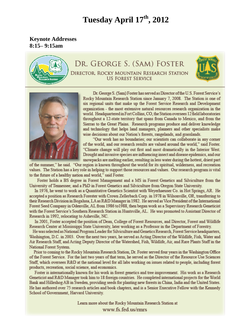# **Tuesday April 17th, 2012**

**Keynote Addresses 8:15– 9:15am**



# DR. GEORGE S. (SAM) FOSTER DIRECTOR, ROCKY MOUNTAIN RESEARCH STATION **US FOREST SERVICE**





Dr. George S. (Sam) Foster has served as Director of the U.S. Forest Service's Rocky Mountain Research Station since January 7, 2008. The Station is one of six regional units that make up the Forest Service Research and Development organization - the most extensive natural resources research organization in the world. Headquartered in Fort Collins, CO, the Station oversees 12 field laboratories throughout a 12-state territory that spans from Canada to Mexico, and from the Sierras to the Great Plains. Research programs produce and deliver knowledge and technology that helps land managers, planners and other specialists make wise decisions about our Nation's forests, rangelands, and grasslands.

"Our work has no boundaries; our scientists can collaborate in any corner of the world, and our research results are valued around the world," said Foster. "Climate change will play out first and most dramatically in the Interior West. Drought and invasive species are influencing insect and disease epidemics, and our snowpacks are melting earlier, resulting in less water during the hottest, driest part

of the summer," he said. "Our region is known throughout the world for its spiritual, wilderness, and recreation values. The Station has a key role in helping to support those resources and values. Our research program is vital to the future of a healthy nation and world," said Foster.

Foster holds a BS degree in Forest Management and a MS in Forest Genetics and Silviculture from the University of Tennessee; and a PhD in Forest Genetics and Silviculture from Oregon State University.

In 1976, he went to work as a Quantitative Genetics Scientist with Weyerhaeuser Co. in Hot Springs, AR. He accepted a position as Research Forester with Crown Zellerbach Corp. in 1978 in Wilsonville, OR, transferring to their Research Division in Bogalusa, LA as R&D Manager in 1982. He served as Vice President of the International Forest Seed Company in Odenville, AL from 1986 to 1988, then began work as a Supervisory Research Geneticist with the Forest Service's Southern Research Station in Huntsville, AL. He was promoted to Assistant Director of Research in 1992, relocating to Asheville, NC.

In 2001, Foster accepted the position of Dean, College of Forest Resources, and Director, Forest and Wildlife Research Center at Mississippi State University, later working as a Professor in the Department of Forestry.

He was selected as National Program Leader for Silviculture and Genetics Research, Forest Service headquarters, Washington, D.C. in 2003. Over the next two years, he served as Acting Director of the Wildlife, Fish, Water and Air Research Staff, and Acting Deputy Director of the Watershed, Fish, Wildlife, Air, and Rare Plants Staff in the National Forest System.

Prior to coming to the Rocky Mountain Research Station, Dr. Foster served four years in the Washington Office of the Forest Service. For the last two years of that term, he served as the Director of the Resource Use Sciences Staff, which oversees R&D at the national level for all labs working on issues related to people, including forest products, recreation, social science, and economics.

Foster is internationally known for his work in forest genetics and tree improvement. His work as a Research Geneticist and R&D Manager took him to 18 foreign countries. He completed international projects for the World Bank and Hilleshog AB in Sweden, providing seeds for planting new forests in China, India and the United States. He has authored over 75 research articles and book chapters, and is a Senior Executive Fellow with the Kennedy School of Government, Harvard University.

> Learn more about the Rocky Mountain Research Station at www.fs.fed.us/rmrs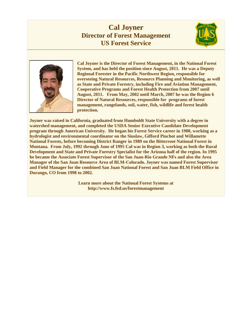# **Cal Joyner Director of Forest Management US Forest Service**





**Cal Joyner is the Director of Forest Management, in the National Forest System, and has held the position since August, 2011. He was a Deputy Regional Forester in the Pacific Northwest Region, responsible for overseeing Natural Resources, Resource Planning and Monitoring, as well as State and Private Forestry, including Fire and Aviation Management, Cooperative Programs and Forest Health Protection from 2007 until August, 2011. From May, 2002 until March, 2007 he was the Region 6 Director of Natural Resources, responsible for programs of forest management, rangelands, soil, water, fish, wildlife and forest health protection.**

**Joyner was raised in California, graduated from Humboldt State University with a degree in watershed management, and completed the USDA Senior Executive Candidate Development program through American University. He began his Forest Service career in 1980, working as a hydrologist and environmental coordinator on the Siuslaw, Gifford Pinchot and Willamette National Forests, before becoming District Ranger in 1989 on the Bitterroot National Forest in Montana. From July, 1992 through June of 1995 Cal was in Region 3, working as both the Rural Development and State and Private Forestry Specialist for the Arizona half of the region. In 1995 he became the Associate Forest Supervisor of the San Juan-Rio Grande NFs and also the Area Manager of the San Juan Resource Area of BLM-Colorado. Joyner was named Forest Supervisor and Field Manager for the combined San Juan National Forest and San Juan BLM Field Office in Durango, CO from 1998 to 2002.** 

> **Learn more about the National Forest Systems at http://www.fs.fed.us/forestmanagement**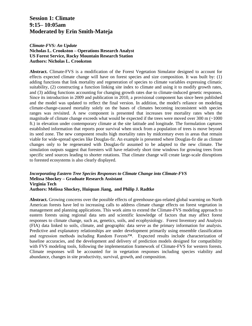# **Session 1: Climate 9:15– 10:05am Moderated by Erin Smith-Mateja**

#### *Climate-FVS: An Update*

**Nicholas L. Crookston – Operations Research Analyst US Forest Service, Rocky Mountain Research Station Authors: Nicholas L. Crookston**

**Abstract.** Climate-FVS is a modification of the Forest Vegetation Simulator designed to account for effects expected climate change will have on forest species and size composition. It was built by: (1) adding functions that link mortality and regeneration of species to climate variables expressing climatic suitability, (2) constructing a function linking site index to climate and using it to modify growth rates, and (3) adding functions accounting for changing growth rates due to climate-induced genetic responses. Since its introduction in 2009 and publication in 2010, a provisional component has since been published and the model was updated to reflect the final version. In addition, the model's reliance on modeling climate-change-caused mortality solely on the bases of climates becoming inconsistent with species ranges was revisited. A new component is presented that increases tree mortality rates when the magnitude of climate change exceeds what would be expected if the trees were moved over  $300 \text{ m}$  ( $\sim$ 1000) ft.) in elevation under contemporary climate at the site latitude and longitude. The formulation captures established information that reports poor survival when stock from a population of trees is move beyond its seed zone. The new component results high mortality rates by midcentury even in areas that remain viable for wide-spread species like Douglas-fir. An example is presented where Douglas-fir die as climate changes only to be regenerated with Douglas-fir assumed to be adapted to the new climate. The simulation outputs suggest that foresters will have relatively short time windows for growing trees from specific seed sources leading to shorter rotations. That climate change will create large-scale disruptions to forested ecosystems is also clearly displayed.

#### *Incorporating Eastern Tree Species Responses to Climate Change into Climate-FVS* **Melissa Shockey – Graduate Research Assistant Virginia Tech Authors: Melissa Shockey, Huiquan Jiang, and Philip J. Radtke**

**Abstract.** Growing concerns over the possible effects of greenhouse-gas-related global warming on North American forests have led to increasing calls to address climate change effects on forest vegetation in management and planning applications. This work aims to extend the Climate-FVS modeling approach to eastern forests using regional data sets and scientific knowledge of factors that may affect forest responses to climate change, such as, genetics, soils, and ecophysiology. Forest Inventory and Analysis (FIA) data linked to soils, climate, and geographic data serve as the primary information for analysis. Predictive and explanatory relationships are under development primarily using ensemble classification and regression methods including Random Forests™. Expected results include characterization of baseline accuracies, and the development and delivery of prediction models designed for compatibility with FVS modeling tools, following the implementation framework of Climate-FVS for western forests. Climate responses will be accounted for in vegetation responses including species viability and abundance, changes in site productivity, survival, growth, and composition.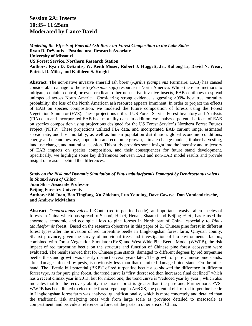**Session 2A: Insects 10:35– 11:25am Moderated by Lance David**

*Modeling the Effects of Emerald Ash Borer on Forest Composition in the Lake States* **Ryan D. DeSantis – Postdoctoral Research Associate University of Missouri US Forest Service, Northern Research Station Authors: Ryan D. DeSantis, W. Keith Moser, Robert J. Huggett, Jr., Ruhong Li, David N. Wear, Patrick D. Miles, and Kathleen S. Knight**

**Abstract.** The non-native invasive emerald ash borer (*Agrilus planipennis* Fairmaire; EAB) has caused considerable damage to the ash (*Fraxinus* spp.) resource in North America. While there are methods to mitigate, contain, control, or even eradicate other non-native invasive insects, EAB continues to spread unimpeded across North America. Considering strong evidence suggesting >99% host tree mortality probability, the loss of the North American ash resource appears imminent. In order to project the effects of EAB on species composition, we modeled the future composition of forests using the Forest Vegetation Simulator (FVS). These projections utilized US Forest Service Forest Inventory and Analysis (FIA) data and incorporated EAB host mortality data. In addition, we analyzed potential effects of EAB on species composition using projections designed for the US Forest Service's Northern Forest Futures Project (NFFP). These projections utilized FIA data, and incorporated EAB current range, estimated spread rate, and host mortality, as well as human population distribution, global economic conditions, energy and technology use, population and economic growth, climate change models, timber harvesting, land use change, and natural succession. This study provides some insight into the intensity and trajectory of EAB impacts on species composition, and their consequences for future stand development. Specifically, we highlight some key differences between EAB and non-EAB model results and provide insight on reasons behind the differences.

*Study on the Risk and Dynamic Simulation of Pinus tabulaeformis Damaged by Dendroctonus valens in Shanxi Area of China* **Juan Shi – Associate Professor Beijing Forestry University Authors: Shi Juan, Bao Tingfang, Xu Zhichun, Luo Youqing, Dave Cawrse, Don Vandendriesche, and Andrew McMahan**

**Abstract.** *Dendroctonus valens* LeConte (red turpentine beetle), an important invasive alien species of forests in China which has spread to Shanxi, Hebei, Henan, Shaanxi and Beijing *et al.*, has caused the enormous economic and ecological loss to pine forests in North part of China, especially to *Pinus tabulaeformis* forest. Based on the research objectives in this paper of 21 Chinese pine forest in different forest types after the invasion of red turpentine beetle in Lingkongshan forest farm, Qinyuan county, Shanxi province, given the survey of individual trees and investigation of bio-environmental factors, combined with Forest Vegetation Simulator (FVS) and West Wide Pine Beetle Model (WWPB), the risk impact of red turpentine beetle on the structure and function of Chinese pine forest ecosystem were evaluated. The result showed that for Chinese pine stands, damaged to different degrees by red turpentine beetle, the stand growth was clearly distinct several years later. The growth of pure Chinese pine stands, after damage infected by pests, is obviously less than that of mixed damaged pine stand. On the other hand, The "Beetle kill potential (BKP)" of red turpentine beetle also showed the difference in different forest type, as for pure pine forest, the trend curve is "first decreased then increased final declined" which has a recent climax year in 2013, but for mixed one, the trend curve is "reduced year by year", which also indicates that for the recovery ability, the mixed forest is greater than the pure one. Furthermore, FVS-WWPB has been linked to [electronic](http://dict.cnki.net/dict_result.aspx?searchword=%e7%94%b5%e5%ad%90&tjType=sentence&style=&t=electronic) forest type map in ArcGIS, the potential risk of red turpentine beetle in Lingkongshan forest farm was analyzed [quantificationally,](javascript:void(0)) which is more concretely and detailed than the traditional risk analyzing ones with from large scale as province detailed to [mesoscale](http://dict.cnki.net/dict_result.aspx?searchword=%e4%b8%ad%e5%b0%ba%e5%ba%a6&tjType=sentence&style=&t=mesoscale) as [compartment,](http://dict.cnki.net/dict_result.aspx?searchword=%e6%9e%97%e7%8f%ad&tjType=sentence&style=&t=compartment) and provide a reference to forecast the pests in other area of China.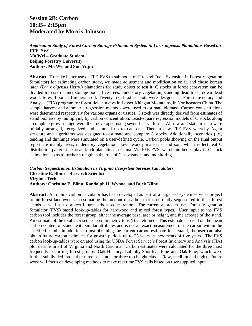# **Session 2B: Carbon 10:35– 2:15pm Moderated by Morris Johnson**

*Application Study of Forest Carbon Storage Estimation System in Larix olgensis Plantations Based on FFE-FVS* **Ma Wei – Graduate Student Beijing Forestry University**

### **Authors: Ma Wei and Sun Yujin**

**Abstract.** To make better use of FFE-FVS (a submodel of Fire and Fuels Extension in Forest Vegetation Simulator) for estimating carbon stock, we made adjustment and modification on it, and chose korean larch (*Larix olgensis* Herry.) plantations for study object to test it. C stocks in forest ecosystem can be divided into six distinct storage pools, live trees, understory vegetation, standing dead trees, down dead wood, forest floor and mineral soil. Twenty fixed-radius plots were designed as Forest Inventory and Analysis (FIA) program for forest field surveys in Lesser Khingan Mountains, in Northeastern China. The sample harvest and allometric regression methods were used to estimate biomass. Carbon concentrations were determined respectively for various organs or tissues. C stock was directly derived from estimates of stand biomass by multiplying by carbon concentration. Least-square regression models of C stocks along a complete growth range were then developed using several curve forms. All raw and statistic data were initially arranged, recognized and summed up to database. Then, a new FFE-FVS whereby Agent structure and algorithms was designed to estimate and compare C stocks. Additionally, scenarios (i.e., tending and thinning) were simulated on a user-defined cycle. Carbon pools showing on the final output report are mainly trees, understory vegetation, down woody materials, and soil, which reflect real C distribution pattern in korean larch plantation in China. Via FFE-FVS, we obtain better play in C stock estimation, so as to further strengthen the role of C assessment and monitoring.

#### *Carbon Sequestration Estimation in Virginia Ecosystem Services Calculators* **Christine E. Blinn – Research Scientist Virginia Tech Authors: Christine E. Blinn, Randolph H. Wynne, and Buck Kline**

**Abstract.** An online carbon calculator has been developed as part of a larger ecosystem services project to aid forest landowners in estimating the amount of carbon that is currently sequestered in their forest stands as well as to project future carbon sequestration. The current approach uses Forest Vegetation Simulator (FVS) based look-up-tables for hardwood and mixed forest types. User input to the FVS carbon tool includes the forest group, either the average basal area or height, and the acreage of the stand. An estimate of the total  $CO<sub>2</sub>$  sequestered in metric tons (t) is returned. This estimate is based on the mean carbon content of stands with similar attributes and is not an exact measurement of the carbon within the specified stand. In addition to just obtaining the current carbon estimate for a stand, the user can also obtain future carbon estimates for growth periods up to 25 years in increments of five years. The FVS carbon look-up-tables were created using the USDA Forest Service's Forest Inventory and Analysis (FIA) plot data from all of Virginia and North Carolina. Carbon estimates were calculated for the three most frequently occurring forest groups, Oak-Hickory, Loblolly-Shortleaf Pine and Oak-Pine, which were further subdivided into either three basal area or three top height classes (low, medium and high). Future work will focus on developing methods to make real time FVS calls based on user supplied input.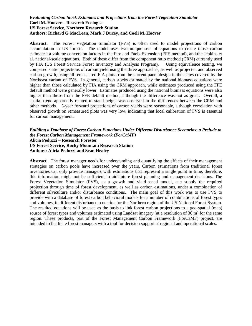#### *Evaluating Carbon Stock Estimates and Projections from the Forest Vegetation Simulator* **Coeli M. Hoover – Research Ecologist US Forest Service, Northern Research Station Authors: Richard G MacLean, Mark J Ducey, and Coeli M. Hoover**

**Abstract.** The Forest Vegetation Simulator (FVS) is often used to model projections of carbon accumulation in US forests. The model uses two unique sets of equations to create those carbon estimates: a volume conversion factors in the Fire and Fuels Extension (FFE method), and the Jenkins et al. national-scale equations. Both of these differ from the component ratio method (CRM) currently used by FIA (US Forest Service Forest Inventory and Analysis Program). Using equivalence testing, we compared static projections of carbon yield using the three approaches, as well as projected and observed carbon growth, using all remeasured FIA plots from the current panel design in the states covered by the Northeast variant of FVS. In general, carbon stocks estimated by the national biomass equations were higher than those calculated by FIA using the CRM approach, while estimates produced using the FFE default method were generally lower. Estimates produced using the national biomass equations were also higher than those from the FFE default method, although the difference was not as great. Overall, a spatial trend apparently related to stand height was observed in the differences between the CRM and other methods. 5-year forward projections of carbon yields were reasonable, although correlation with observed growth on remeasured plots was very low, indicating that local calibration of FVS is essential for carbon management.

#### *Building a Database of Forest Carbon Functions Under Different Disturbance Scenarios: a Prelude to the Forest Carbon Management Framework (ForCaMF)* **Alicia Peduzzi – Research Forester US Forest Service, Rocky Mountain Research Station Authors: Alicia Peduzzi and Sean Healey**

**Abstract.** The forest manager needs for understanding and quantifying the effects of their management strategies on carbon pools have increased over the years. Carbon estimations from traditional forest inventories can only provide managers with estimations that represent a single point in time, therefore, this information might not be sufficient to aid future forest planning and management decisions. The Forest Vegetation Simulator (FVS), as a growth and yield-based model, can supply the required projection through time of forest development, as well as carbon estimations, under a combination of different silviculture and/or disturbance conditions. The main goal of this work was to use FVS to provide with a database of forest carbon behavioral models for a number of combinations of forest types and volumes, in different disturbance scenarios for the Northern region of the US National Forest System. The resulted equations will be used as the basis to link forest carbon projections to a geo-spatial (map) source of forest types and volumes estimated using Landsat imagery (at a resolution of 30 m) for the same region. These products, part of the Forest Management Carbon Framework (ForCaMF) project, are intended to facilitate forest managers with a tool for decision support at regional and operational scales.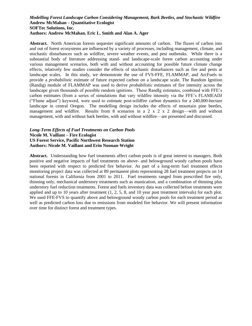#### *Modelling Forest Landscape Carbon Considering Management, Bark Beetles, and Stochastic Wildfire* **Andrew McMahan – Quantitative Ecologist SOFTec Solutions, Inc. Authors: Andrew McMahan. Eric L. Smith and Alan A. Ager**

**Abstract.** North American forests sequester significant amounts of carbon. The fluxes of carbon into and out of forest ecosystems are influenced by a variety of processes, including management, climate, and stochastic disturbances such as wildfire, severe weather events, and pest outbreaks. While there is a substantial body of literature addressing stand- and landscape-scale forest carbon accounting under various management scenarios, both with and without accounting for possible future climate change effects, relatively few studies consider the effects of stochastic disturbances such as fire and pests at landscape scales. In this study, we demonstrate the use of FVS-FFE, FLAMMAP, and ArcFuels to provide a *probabilistic* estimate of future expected carbon on a landscape scale. The Random Ignition (Randig) module of FLAMMAP was used to derive *probabilistic* estimates of fire intensity across the landscape given thousands of possible random ignitions. These RandIg estimates, combined with FFE's carbon estimates (from a series of simulations that vary wildfire intensity via the FFE's FLAMEADJ ("Flame adjust") keyword, were used to estimate post-wildfire carbon dynamics for a 240,000-hectare landscape in central Oregon. The modelling design includes the effects of mountain pine beetles, management and wildfire. Results from 8 scenarios in a  $2 \times 2 \times 2$  design—with and without management, with and without bark beetles, with and without wildfire—are presented and discussed.

#### *Long-Term Effects of Fuel Treatments on Carbon Pools* **Nicole M. Vaillant – Fire Ecologist US Forest Service, Pacific Northwest Research Station Authors: Nicole M. Vaillant and Erin Noonan-Wright**

**Abstract.** Understanding how fuel treatments affect carbon pools is of great interest to managers. Both positive and negative impacts of fuel treatments on above- and belowground woody carbon pools have been reported with respect to predicted fire behavior. As part of a long-term fuel treatment effects monitoring project data was collected at 89 permanent plots representing 28 fuel treatment projects on 14 national forests in California from 2001 to 2011. Fuel treatments ranged from prescribed fire only, thinning only, mechanical understory treatments such as mastication, and a combination of thinning plus understory fuel reduction treatments. Forest and fuels inventory data was collected before treatments were applied and up to 10 years after treatment (1, 2, 5, 8, and 10 year post treatment intervals) for each plot. We used FFE-FVS to quantify above and belowground woody carbon pools for each treatment period as well as predicted carbon loss due to emissions from modeled fire behavior. We will present information over time for distinct forest and treatment types.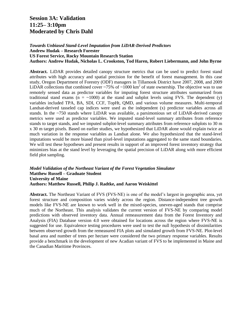# **Session 3A: Validation 11:25– 3:10pm Moderated by Chris Dahl**

*Towards Unbiased Stand-Level Imputation from LiDAR-Derived Predictors*

**Andrew Hudak – Research Forester**

**US Forest Service, Rocky Mountain Research Station**

**Authors: Andrew Hudak, Nicholas L. Crookston, Tod Haren, Robert Liebermann, and John Byrne**

**Abstract.** LiDAR provides detailed canopy structure metrics that can be used to predict forest stand attributes with high accuracy and spatial precision for the benefit of forest management. In this case study, Oregon Department of Forestry (ODF) managers in Tillamook District have 2007, 2008, and 2009 LiDAR collections that combined cover ~75% of ~1000 km<sup>2</sup> of state ownership. The objective was to use remotely sensed data as predictor variables for imputing forest structure attributes summarized from traditional stand exams ( $n = \sim 1000$ ) at the stand and subplot levels using FVS. The dependent (y) variables included TPA, BA, SDI, CCF, TopHt, QMD, and various volume measures. Multi-temporal Landsat-derived tasseled cap indices were used as the independent (x) predictor variables across all stands. In the ~750 stands where LiDAR was available, a parsimonious set of LiDAR-derived canopy metrics were used as predictor variables. We imputed stand-level summary attributes from reference stands to target stands, and we imputed subplot-level summary attributes from reference subplots to 30 m x 30 m target pixels. Based on earlier studies, we hypothesized that LiDAR alone would explain twice as much variation in the response variables as Landsat alone. We also hypothesized that the stand-level imputations would be more biased than pixel-level imputations aggregated to the same stand boundaries. We will test these hypotheses and present results in support of an improved forest inventory strategy that minimizes bias at the stand level by leveraging the spatial precision of LiDAR along with more efficient field plot sampling.

#### *Model Validation of the Northeast Variant of the Forest Vegetation Simulator* **Matthew Russell – Graduate Student University of Maine Authors: Matthew Russell, Philip J. Radtke, and Aaron Weiskittel**

**Abstract.** The Northeast Variant of FVS (FVS-NE) is one of the model's largest in geographic area, yet forest structure and composition varies widely across the region. Distance-independent tree growth models like FVS-NE are known to work well in the mixed-species, uneven-aged stands that comprise much of the Northeast. This analysis validates the current version of FVS-NE by comparing model predictions with observed inventory data. Annual remeasurement data from the Forest Inventory and Analysis (FIA) Database version 4.0 were obtained for locations across the region where FVS-NE is suggested for use. Equivalence testing procedures were used to test the null hypothesis of dissimilarities between observed growth from the remeasured FIA plots and simulated growth from FVS-NE. Plot-level basal area and number of trees per hectare were considered the two primary response variables. Results provide a benchmark in the development of new Acadian variant of FVS to be implemented in Maine and the Canadian Maritime Provinces.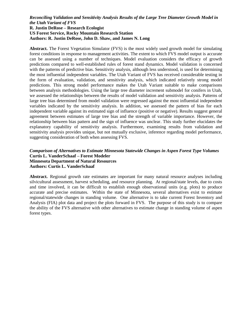#### *Reconciling Validation and Sensitivity Analysis Results of the Large Tree Diameter Growth Model in the Utah Variant of FVS* **R. Justin DeRose – Research Ecologist US Forest Service, Rocky Mountain Research Station Authors: R. Justin DeRose, John D. Shaw, and James N. Long**

**Abstract.** The Forest Vegetation Simulator (FVS) is the most widely used growth model for simulating forest conditions in response to management activities. The extent to which FVS model output is accurate can be assessed using a number of techniques. Model evaluation considers the efficacy of growth predictions compared to well-established rules of forest stand dynamics. Model validation is concerned with the patterns of predictive bias. Sensitivity analysis, although less understood, is used for determining the most influential independent variables. The Utah Variant of FVS has received considerable testing in the form of evaluation, validation, and sensitivity analysis, which indicated relatively strong model predictions. This strong model performance makes the Utah Variant suitable to make comparisons between analysis methodologies. Using the large tree diameter increment submodel for conifers in Utah, we assessed the relationships between the results of model validation and sensitivity analysis. Patterns of large tree bias determined from model validation were regressed against the most influential independent variables indicated by the sensitivity analysis. In addition, we assessed the pattern of bias for each independent variable against its estimated sign of influence (positive or negative). Results suggest general agreement between estimates of large tree bias and the strength of variable importance. However, the relationship between bias pattern and the sign of influence was unclear. This study further elucidates the explanatory capability of sensitivity analysis. Furthermore, examining results from validation and sensitivity analysis provides unique, but not mutually exclusive, inference regarding model performance, suggesting consideration of both when assessing FVS.

#### *Comparison of Alternatives to Estimate Minnesota Statewide Changes in Aspen Forest Type Volumes* **Curtis L. VanderSchaaf – Forest Modeler Minnesota Department of Natural Resources Authors: Curtis L. VanderSchaaf**

**Abstract.** Regional growth rate estimates are important for many natural resource analyses including silvicultural assessment, harvest scheduling, and resource planning. At regional/state levels, due to costs and time involved, it can be difficult to establish enough observational units (e.g. plots) to produce accurate and precise estimates. Within the state of Minnesota, several alternatives exist to estimate regional/statewide changes in standing volume. One alternative is to take current Forest Inventory and Analysis (FIA) plot data and project the plots forward in FVS. The purpose of this study is to compare the ability of the FVS alternative with other alternatives to estimate change in standing volume of aspen forest types.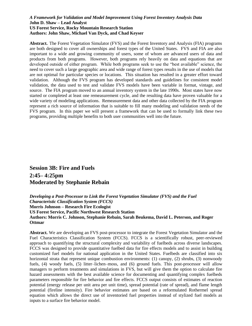#### *A Framework for Validation and Model Improvement Using Forest Inventory Analysis Data* **John D. Shaw – Lead Analyst US Forest Service, Rocky Mountain Research Station Authors: John Shaw, Michael Van Dyck, and Chad Keyser**

**Abstract.** The Forest Vegetation Simulator (FVS) and the Forest Inventory and Analysis (FIA) programs are both designed to cover all ownerships and forest types of the United States. FVS and FIA are also important to a wide and growing community of users, some of whom are advanced users of data and products from both programs. However, both programs rely heavily on data and equations that are developed outside of either program. While both programs seek to use the "best available" science, the need to cover such a large geographic area and wide range of forest types results in the use of models that are not optimal for particular species or locations. This situation has resulted in a greater effort toward validation. Although the FVS program has developed standards and guidelines for consistent model validation, the data used to test and validate FVS models have been variable in format, vintage, and source. The FIA program moved to an annual inventory system in the late 1990s. Most states have now started or completed at least one remeasurement cycle, and the resulting data have proven valuable for a wide variety of modeling applications. Remeasurement data and other data collected by the FIA program represent a rich source of information that is suitable to fill many modeling and validation needs of the FVS program. In this paper we will present a framework that can be used to formally link these two programs, providing multiple benefits to both user communities well into the future.

# **Session 3B: Fire and Fuels 2:45– 4:25pm Moderated by Stephanie Rebain**

*Developing a Post-Processor to Link the Forest Vegetation Simulator (FVS) and the Fuel Characteristic Classification System (FCCS)* **Morris Johnson – Research Fire Ecologist US Forest Service, Pacific Northwest Research Station Authors: Morris C. Johnson, Stephanie Rebain, Sarah Beukema, David L. Peterson, and Roger Ottmar**

**Abstract.** We are developing an FVS post-processor to integrate the Forest Vegetation Simulator and the Fuel Characteristics Classification System (FCCS). FCCS is a scientifically robust, peer-reviewed approach to quantifying the structural complexity and variability of fuelbeds across diverse landscapes. FCCS was designed to provide quantitative fuelbed data for fire effects models and to assist in building customized fuel models for national application in the United States. Fuelbeds are classified into six horizontal strata that represent unique combustion environments: (1) canopy, (2) shrubs, (3) nonwoody fuels, (4) woody fuels, (5) litter–lichen–moss, and (6) ground fuels. This post-processor will allow managers to perform treatments and simulations in FVS, but will give them the option to calculate fire hazard assessments with the best available science for documenting and quantifying complex fuelbeds parameters responsible for fire behavior and fire effects. FCCS output consists of estimates of reaction potential (energy release per unit area per unit time), spread potential (rate of spread), and flame length potential (fireline intensity). Fire behavior estimates are based on a reformulated Rothermel spread equation which allows the direct use of inventoried fuel properties instead of stylized fuel models as inputs to a surface fire behavior model.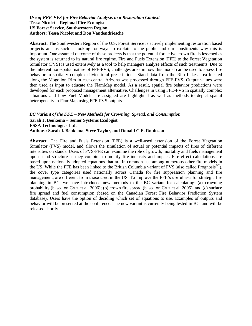#### *Use of FFE-FVS for Fire Behavior Analysis in a Restoration Context* **Tessa Nicolet – Regional Fire Ecologist US Forest Service, Southwestern Region Authors: Tessa Nicolet and Don Vandendriesche**

**Abstract.** The Southwestern Region of the U.S. Forest Service is actively implementing restoration based projects and as such is looking for ways to explain to the public and our constituents why this is important. One assumed outcome of these projects is that the potential for active crown fire is lessened as the system is returned to its natural fire regime. Fire and Fuels Extension (FFE) to the Forest Vegetation Simulator (FVS) is used extensively as a tool to help managers analyze effects of such treatments. Due to the inherent non-spatial nature of FFE-FVS, challenges arise in how this model can be used to assess fire behavior in spatially complex silvicultural prescriptions. Stand data from the Rim Lakes area located along the Mogollon Rim in east-central Arizona was processed through FFE-FVS. Output values were then used as input to educate the FlamMap model. As a result, spatial fire behavior predictions were developed for each proposed management alternative. Challenges in using FFE-FVS in spatially complex situations and how Fuel Models are assigned are highlighted as well as methods to depict spatial heterogeneity in FlamMap using FFE-FVS outputs.

#### *BC Variant of the FFE – New Methods for Crowning, Spread, and Consumption* **Sarah J. Beukema – Senior Systems Ecologist ESSA Technologies Ltd. Authors: Sarah J. Beukema, Steve Taylor, and Donald C.E. Robinson**

**Abstract.** The Fire and Fuels Extension (FFE) is a well-used extension of the Forest Vegetation Simulator (FVS) model, and allows the simulation of actual or potential impacts of fires of different intensities on stands. Users of FVS-FFE can examine the role of growth, mortality and fuels management upon stand structure as they combine to modify fire intensity and impact. Fire effect calculations are based upon nationally adopted equations that are in common use among numerous other fire models in the US. While the FFE has been linked to the British Columbia variant of FVS (also called Prognosis<sup>BC</sup>), the cover type categories used nationally across Canada for fire suppression planning and fire management, are different from those used in the US. To improve the FFE's usefulness for strategic fire planning in BC, we have introduced new methods to the BC variant for calculating: (a) crowning probability (based on Cruz et al. 2006); (b) crown fire spread (based on Cruz et al. 2005), and (c) surface fire spread and fuel consumption (based on the Canadian Forest Fire Behavior Prediction System database). Users have the option of deciding which set of equations to use. Examples of outputs and behavior will be presented at the conference. The new variant is currently being tested in BC, and will be released shortly.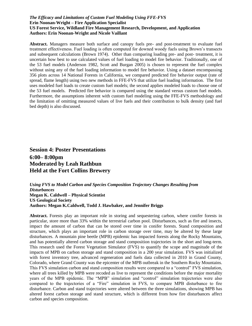#### *The Efficacy and Limitations of Custom Fuel Modeling Using FFE-FVS* **Erin Noonan-Wright – Fire Application Specialist US Forest Service, Wildland Fire Management Research, Development, and Application Authors: Erin Noonan-Wright and Nicole Vaillant**

**Abstract.** Managers measure both surface and canopy fuels pre- and post-treatment to evaluate fuel treatment effectiveness. Fuel loading is often computed for downed woody fuels using Brown's transects and subsequent calculations (Brown 1974). Other than comparing loading pre- and post- treatment, it is uncertain how best to use calculated values of fuel loading to model fire behavior. Traditionally, one of the 53 fuel models (Anderson 1982, Scott and Burgan 2005) is chosen to represent the fuel complex without using any of the fuel loading information to model fire behavior. Using a dataset encompassing 356 plots across 14 National Forests in California, we compared predicted fire behavior output (rate of spread, flame length) using two new methods in FFE-FVS that utilize fuel loading information. The first uses modeled fuel loads to create custom fuel models; the second applies modeled loads to choose one of the 53 fuel models. Predicted fire behavior is compared using the standard versus custom fuel models. Furthermore, the assumptions inherent with custom fuel modeling using the FFE-FVS methodology and the limitation of omitting measured values of live fuels and their contribution to bulk density (and fuel bed depth) is also discussed.

# **Session 4: Poster Presentations 6:00– 8:00pm Moderated by Leah Rathbun Held at the Fort Collins Brewery**

*Using FVS to Model Carbon and Species Composition Trajectory Changes Resulting from Disturbances* **Megan K. Caldwell – Physical Scientist US Geological Society Authors: Megan K.Caldwell, Todd J. Hawbaker, and Jennifer Briggs**

**Abstract.** Forests play an important role in storing and sequestering carbon, where conifer forests in particular, store more than 33% within the terrestrial carbon pool. Disturbances, such as fire and insects, impact the amount of carbon that can be stored over time in conifer forests. Stand composition and structure, which plays an important role in carbon storage over time, may be altered by these large disturbances. A mountain pine beetle (MPB) epidemic has impacted forests along the Rocky Mountains, and has potentially altered carbon storage and stand composition trajectories in the short and long-term. This research used the Forest Vegetation Simulator (FVS) to quantify the scope and magnitude of the impacts of MPB on carbon storage and stand composition in a 200 year simulation. FVS was initialized with forest inventory tree, advanced regeneration and fuels data collected in 2010 in Grand County, Colorado, where Grand County was the epicenter of the MPB outbreak in the Southern Rocky Mountains. This FVS simulation carbon and stand composition results were compared to a "control" FVS simulation, where all trees killed by MPB were recoded as live to represent the conditions before the major mortality years of the MPB epidemic. The "MPB" simulation and "control" simulation trajectories were also compared to the trajectories of a "Fire" simulation in FVS, to compare MPB disturbance to fire disturbance. Carbon and stand trajectories were altered between the three simulations, showing MPB has altered forest carbon storage and stand structure, which is different from how fire disturbances affect carbon and species composition.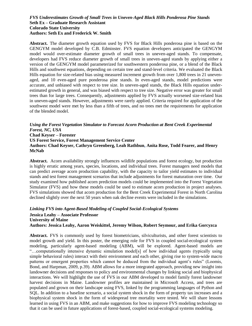#### *FVS Underestimates Growth of Small Trees in Uneven-Aged Black Hills Ponderosa Pine Stands* **Seth Ex – Graduate Research Assistant Colorado State University Authors: Seth Ex and Frederick W. Smith**

**Abstract.** The diameter growth equation used by FVS for Black Hills ponderosa pine is based on the GENGYM model developed by C.B. Edminster. FVS equation developers anticipated the GENGYM model would over-estimate diameter growth of small trees in uneven-aged stands. To compensate, developers had FVS reduce diameter growth of small trees in uneven-aged stands by applying either a version of the GENGYM model parameterized for southwestern ponderosa pine, or a blend of the Black Hills and southwest equations, depending on certain tree and stand-level criteria. We evaluated the Black Hills equation for size-related bias using measured increment growth from over 1,800 trees in 21 unevenaged, and 10 even-aged pure ponderosa pine stands. In even-aged stands, model predictions were accurate, and unbiased with respect to tree size. In uneven-aged stands, the Black Hills equation underestimated growth in general, and was biased with respect to tree size. Negative error was greater for small trees than for large trees. Consequently, adjustments applied by FVS actually worsened size-related bias in uneven-aged stands. However, adjustments were rarely applied. Criteria required for application of the southwest model were met by less than a fifth of trees, and no trees met the requirements for application of the blended model.

#### *Using the Forest Vegetation Simulator to Forecast Acorn Production at Bent Creek Experimental Forest, NC, USA* **Chad Keyser – Forester US Forest Service, Forest Management Service Center Authors: Chad Keyser, Cathryn Greenberg, Leah Rathbun, Anita Rose, Todd Fearer, and Henry**

**McNab**

**Abstract.** Acorn availability strongly influences wildlife populations and forest ecology, but production is highly erratic among years, species, locations, and individual trees. Forest managers need models that can predict average acorn production capability, with the capacity to tailor yield estimates to individual stands and test forest management scenarios that include adjustments for forest maturation over time. Our study examined how published acorn prediction models could be implemented into the Forest Vegetation Simulator (FVS) and how these models could be used to estimate acorn production in project analyses. FVS simulations showed that acorn production for the Bent Creek Experimental Forest in North Carolina declined slightly over the next 50 years when oak decline events were included in the simulations.

*Linking FVS into Agent-Based Modeling of Coupled Social-Ecological Systems* **Jessica Leahy – Associate Professor University of Maine Authors: Jessica Leahy, Aaron Weiskittel, Jeremy Wilson, Robert Seymour, and Erika Gorcyzca**

**Abstract.** FVS is commonly used by forest biometricians, silviculturists, and other forest scientists to model growth and yield. In this poster, the emerging role for FVS in coupled social-ecological system modeling, particularly agent-based modeling (ABM), will be explored. Agent-based models are "…computationally intensive dynamic simulation model[s] of how individual agents (typically using simple behavioral rules) interact with their environment and each other, giving rise to system-wide macro patterns or emergent properties which cannot be deduced from the individual agent's rules" (Loomis, Bond, and Harpman, 2009, p.39). ABM allows for a more integrated approach, providing new insight into landowner decisions and responses to policy and environmental changes by linking social and biophysical interactions. We will highlight the use of FVS in our ABM developed to model family forest landowner harvest decisions in Maine. Landowner profiles are maintained in Microsoft Access, and trees are populated and grown on their landscape using FVS, linked by the programming languages of Python and SQL. In addition to a baseline scenario, a social system shock in the form of property tax increases and a biophysical system shock in the form of widespread tree mortality were tested. We will share lessons learned in using FVS in an ABM, and make suggestions for how to improve FVS modeling technology so that it can be used in future applications of forest-based, coupled social-ecological systems modeling.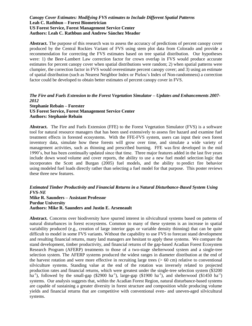#### *Canopy Cover Estimates: Modifying FVS estimates to Include Different Spatial Patterns* **Leah C. Rathbun – Forest Biometrician US Forest Service, Forest Management Service Center Authors: Leah C. Rathbun and Andrew Sánchez Meador**

**Abstract.** The purpose of this research was to assess the accuracy of predictions of percent canopy cover produced by the Central Rockies Variant of FVS using stem plot data from Colorado and provide a recommendation for correcting the FVS estimates based on tree spatial distribution. Our hypotheses were: 1) the Beer-Lambert Law correction factor for crown overlap in FVS would produce accurate estimates for percent canopy cover when spatial distributions were random; 2) when spatial patterns were clumpier, the correction factor in FVS would overestimate percent canopy cover; and 3) using an estimate of spatial distribution (such as Nearest Neighbor Index or Pielou's Index of Non-randomness) a correction factor could be developed to obtain better estimates of percent canopy cover in FVS.

### *The Fire and Fuels Extension to the Forest Vegetation Simulator – Updates and Enhancements 2007- 2012*

**Stephanie Rebain – Forester US Forest Service, Forest Management Service Center Authors: Stephanie Rebain**

**Abstract.** The Fire and Fuels Extension (FFE) to the Forest Vegetation Simulator (FVS) is a software tool for natural resource managers that has been used extensively to assess fire hazard and examine fuel treatment effects in forested ecosystems. With the FFE-FVS system, users can input their own forest inventory data, simulate how these forests will grow over time, and simulate a wide variety of management activities, such as thinning and prescribed burning. FFE was first developed in the mid 1990's, but has been continually updated since that time. Three major features added in the last five years include down wood volume and cover reports, the ability to use a new fuel model selection logic that incorporates the Scott and Burgan (2005) fuel models, and the ability to predict fire behavior using modeled fuel loads directly rather than selecting a fuel model for that purpose. This poster reviews these three new features.

#### *Estimated Timber Productivity and Financial Returns in a Natural Disturbance-Based System Using FVS-NE*

#### **Mike R. Saunders – Assistant Professor Purdue University Authors: Mike R. Saunders and Justin E. Arseneault**

**Abstract.** Concerns over biodiversity have spurred interest in silvicultural systems based on patterns of natural disturbances in forest ecosystems. Common to many of these systems is an increase in spatial variability produced (e.g., creation of large interior gaps or variable density thinning) that can be quite difficult to model in some FVS variants. Without the capability to use FVS to forecast stand development and resulting financial returns, many land managers are hesitant to apply these systems. We compare the stand development, timber productivity, and financial returns of the gap-based Acadian Forest Ecosystem Research Program (AFERP) treatments to those of a two-stage shelterwood system and a single-tree selection system. The AFERP systems produced the widest ranges in diameter distribution at the end of the harvest rotation and were more effective in recruiting large trees  $(> 60 \text{ cm})$  relative to conventional silviculture systems. Standing value at the end of the rotation was inversely related to projected production rates and financial returns, which were greatest under the single-tree selection system (\$3200  $\hat{h}a^{-1}$ ), followed by the small-gap (\$2900 ha<sup>-1</sup>), large-gap (\$1900 ha<sup>-1</sup>), and shelterwood (\$1450 ha<sup>-1</sup>) systems. Our analysis suggests that, within the Acadian Forest Region, natural disturbance-based systems are capable of sustaining a greater diversity in forest structure and composition while producing volume yields and financial returns that are competitive with conventional even- and uneven-aged silvicultural systems.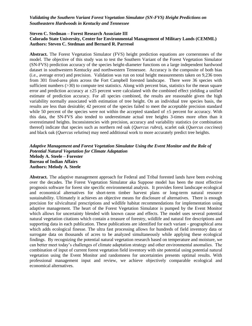#### *Validating the Southern Variant Forest Vegetation Simulator (SN-FVS) Height Predictions on Southeastern Hardwoods in Kentucky and Tennessee*

#### **Steven C. Stedman – Forest Research Associate III Colorado State University, Center for Environmental Management of Military Lands (CEMML) Authors: Steven C. Stedman and Bernard R. Parresol**

**Abstract.** The Forest Vegetation Simulator (FVS) height prediction equations are cornerstones of the model. The objective of this study was to test the Southern Variant of the Forest Vegetation Simulator (SN-FVS) prediction accuracy of the species height-diameter functions on a large independent hardwood dataset in southwestern Kentucky and northwestern Tennessee. Accuracy is the composite of both bias (i.e., average error) and precision. Validation was run on total height measurements taken on 9,236 trees from 301 fixed-area plots across the Fort Campbell forested landscape. There were 36 species with sufficient numbers (>30) to compute test statistics. Along with percent bias, statistics for the mean square error and prediction accuracy at  $\pm 25$  percent were calculated with the combined effect yielding a unified estimate of prediction accuracy. For all species combined, the results are reasonable given the high variability normally associated with estimation of tree height. On an individual tree species basis, the results are less than desirable; 42 percent of the species failed to meet the acceptable precision standard while 50 percent of the species were not within the accepted standard of  $\pm$ 5 percent for accuracy. With this data, the SN-FVS also tended to underestimate actual tree heights 3-times more often than it overestimated heights. Inconsistencies with precision, accuracy and variability statistics (or combination thereof) indicate that species such as northern red oak (*Quercus rubra*), scarlet oak (*Quercus coccinea*) and black oak (*Quercus velutina*) may need additional work to more accurately predict tree heights.

#### *Adaptive Management and Forest Vegetation Simulator Using the Event Monitor and the Role of Potential Natural Vegetation for Climate Adaptation* **Melody A. Steele – Forester Bureau of Indian Affairs Authors: Melody A. Steele**

**Abstract.** The adaptive management approach for Federal and Tribal forested lands have been evolving over the decades. The Forest Vegetation Simulator aka Suppose model has been the most effective prognosis software for forest site specific environmental analysis. It provides forest landscape ecological and economical alternatives for short-term timber harvest plans or long-term natural resource sustainability. Ultimately it achieves an objective means for disclosure of alternatives. There is enough precision for silvicultural prescriptions and wildlife habitat recommendations for implementation using adaptive management. The heart of the Forest Vegetation Simulator is pumped by the Event Monitor which allows for uncertainty blended with known cause and effects. The model uses several potential natural vegetation citations which contain a treasure of forestry, wildlife and natural fire descriptions and supporting data in each publication. These publications are identified for each variant - geographical area which adds ecological finesse. The ultra fast processing allows for hundreds of field inventory data or surrogate data on thousands of acres to be analyzed simultaneously while applying these ecological findings. By recognizing the potential natural vegetation research based on temperature and moisture, we can better meet today's challenges of climate adaptation strategy and other environmental anomalies. The combination of input of current forest vegetation field inventory with site potential using potential natural vegetation using the Event Monitor and randomness for uncertainties presents optimal results. With professional management input and review, we achieve objectively comparable ecological and economical alternatives.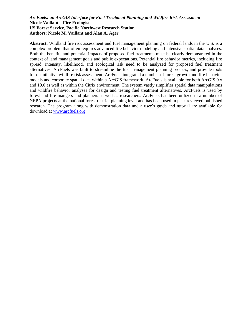#### *ArcFuels: an ArcGIS Interface for Fuel Treatment Planning and Wildfire Risk Assessment* **Nicole Vaillant – Fire Ecologist US Forest Service, Pacific Northwest Research Station Authors: Nicole M. Vaillant and Alan A. Ager**

**Abstract.** Wildland fire risk assessment and fuel management planning on federal lands in the U.S. is a complex problem that often requires advanced fire behavior modeling and intensive spatial data analyses. Both the benefits and potential impacts of proposed fuel treatments must be clearly demonstrated in the context of land management goals and public expectations. Potential fire behavior metrics, including fire spread, intensity, likelihood, and ecological risk need to be analyzed for proposed fuel treatment alternatives. ArcFuels was built to streamline the fuel management planning process, and provide tools for quantitative wildfire risk assessment. ArcFuels integrated a number of forest growth and fire behavior models and corporate spatial data within a ArcGIS framework. ArcFuels is available for both ArcGIS 9.x and 10.0 as well as within the Citrix environment. The system vastly simplifies spatial data manipulations and wildfire behavior analyses for design and testing fuel treatment alternatives. ArcFuels is used by forest and fire mangers and planners as well as researchers. ArcFuels has been utilized in a number of NEPA projects at the national forest district planning level and has been used in peer-reviewed published research. The program along with demonstration data and a user's guide and tutorial are available for download at [www.arcfuels.org.](http://www.arcfuels.org/)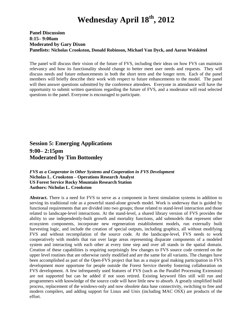# **Wednesday April 18 th, 2012**

#### **Panel Discussion 8:15– 9:00am Moderated by Gary Dixon Panelists: Nicholas Crookston, Donald Robinson, Michael Van Dyck, and Aaron Weiskittel**

The panel will discuss their vision of the future of FVS, including their ideas on how FVS can maintain relevancy and how its functionality should change to better meet user needs and requests. They will discuss needs and future enhancements in both the short term and the longer term. Each of the panel members will briefly describe their work with respect to future enhancements to the model. The panel will then answer questions submitted by the conference attendees. Everyone in attendance will have the opportunity to submit written questions regarding the future of FVS, and a moderator will read selected questions to the panel. Everyone is encouraged to participate.

**Session 5: Emerging Applications 9:00– 2:15pm Moderated by Tim Bottomley**

#### *FVS as a Cooperator in Other Systems and Cooperation in FVS Development* **Nicholas L. Crookston – Operations Research Analyst US Forest Service Rocky Mountain Research Station Authors: Nicholas L. Crookston**

**Abstract.** There is a need for FVS to serve as a component in forest simulation systems in addition to serving its traditional role as a powerful stand-alone growth model. Work is underway that is guided by functional requirements that are divided into two groups; those related to stand-level interaction and those related to landscape-level interactions. At the stand-level, a shared library version of FVS provides the ability to use independently-built growth and mortality functions, add submodels that represent other ecosystem components, incorporate new regeneration establishment models, run externally built harvesting logic, and include the creation of special outputs, including graphics, all without modifying FVS and without recompilation of the source code. At the landscape-level, FVS needs to work cooperatively with models that run over large areas representing disparate components of a modeled system and interacting with each other at every time step and over all stands in the spatial domain. Creation of these capabilities is requiring surprisingly few changes to FVS source code centered on the upper level routines that are otherwise rarely modified and are the same for all variants. The changes have been accomplished as part of the Open-FVS project that has as a major goal making participation in FVS development more opportune for people outside the Forest Service thereby fostering collaboration on FVS development. A few infrequently used features of FVS (such as the Parallel Processing Extension) are not supported but can be added if not soon retired. Existing keyword files still will run and programmers with knowledge of the source code will have little new to absorb. A greatly simplified build process, replacement of the windows-only and now obsolete data base connectivity, switching to free and modern compilers, and adding support for Linux and Unix (including MAC OSX) are products of the effort.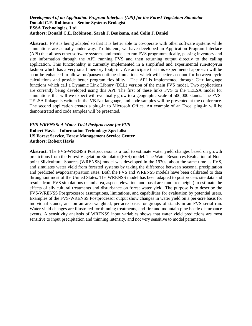#### *Development of an Application Program Interface (API) for the Forest Vegetation Simulator* **Donald C.E. Robinson – Senior Systems Ecologist ESSA Technologies, Ltd. Authors: Donald C.E. Robinson, Sarah J. Beukema, and Colin J. Daniel**

Abstract. FVS is being adapted so that it is better able to co-operate with other software systems while simulations are actually under way. To this end, we have developed an Application Program Interface (API) that allows other software systems and models to run FVS programmatically, passing inventory and site information through the API, running FVS and then returning output directly to the calling application. This functionality is currently implemented in a simplified and experimental run/stop/run fashion which has a very small memory footprint. We anticipate that this experimental approach will be soon be enhanced to allow run/pause/continue simulations which will better account for between-cycle calculations and provide better program flexibility. The API is implemented through C++ language functions which call a Dynamic Link Library (DLL) version of the main FVS model. Two applications are currently being developed using this API. The first of these links FVS to the TELSA model for simulations that will we expect will eventually grow to a geographic scale of 500,000 stands. The FVS-TELSA linkage is written in the VB.Net language, and code samples will be presented at the conference. The second application creates a plug-in to Microsoft Office. An example of an Excel plug-in will be demonstrated and code samples will be presented.

#### *FVS-WRENSS: A Water Yield Postprocessor for FVS* **Robert Havis – Information Technology Specialist US Forest Service, Forest Management Service Center Authors: Robert Havis**

**Abstract.** The FVS-WRENSS Postprocessor is a tool to estimate water yield changes based on growth predictions from the Forest Vegetation Simulator (FVS) model. The Water Resources Evaluation of Nonpoint Silvicultural Sources (WRENSS) model was developed in the 1970s, about the same time as FVS, and simulates water yield from forested systems by taking the difference between seasonal precipitation and predicted evapotranspiration rates. Both the FVS and WRENSS models have been calibrated to data throughout most of the United States. The WRENSS model has been adapted to postprocess site data and results from FVS simulations (stand area, aspect, elevation, and basal area and tree height) to estimate the effects of silvicultural treatments and disturbance on forest water yield. The purpose is to describe the FVS-WRENSS Postprocessor assumptions, limitations, and capabilities for evaluation by potential users. Examples of the FVS-WRENSS Postprocessor output show changes in water yield on a per-acre basis for individual stands, and on an area-weighted, per-acre basis for groups of stands in an FVS serial run. Water yield changes are illustrated for thinning treatments, and fire and mountain pine beetle disturbance events. A sensitivity analysis of WRENSS input variables shows that water yield predictions are most sensitive to input precipitation and thinning intensity, and not very sensitive to model parameters.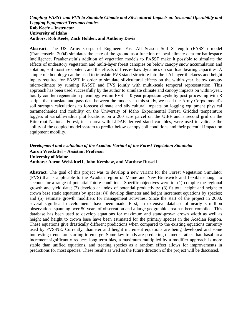#### *Coupling FASST and FVS to Simulate Climate and Silvicultural Impacts on Seasonal Operability and Logging Equipment Terramechanics* **Rob Keefe – Instructor University of Idaho Authors: Rob Keefe, Zack Holden, and Anthony Davis**

**Abstract.** The US Army Corps of Engineers Fast All Season Soil STrength (FASST) model (Frankenstein, 2004) simulates the state of the ground as a function of local climate data for battlespace intelligence. Frankenstein's addition of vegetation models to FASST make it possible to simulate the effects of understory vegetation and multi-layer forest canopies on below canopy snow accumulation and ablation, soil moisture content, and the effects of freeze-thaw dynamics on soil load bearing capacities. A simple methodology can be used to translate FVS stand structure into the LAI layer thickness and height inputs required for FASST in order to simulate silvicultural effects on the within-year, below canopy micro-climate by running FASST and FVS jointly with multi-scale temporal representation. This approach has been used successfully by the author to simulate climate and canopy impacts on within-year, hourly conifer regeneration phenology within FVS's 10 year projection cycle by post-processing with R scripts that translate and pass data between the models. In this study, we used the Army Corps. model's soil strength calculations to forecast climate and silvicultural impacts on logging equipment physical terramechanics and mobility on the University of Idaho Experimental Forest. Gridded temperature loggers at variable-radius plot locations on a 200 acre parcel on the UIEF and a second grid on the Bitterroot National Forest, in an area with LIDAR-derived stand variables, were used to validate the ability of the coupled model system to predict below-canopy soil conditions and their potential impact on equipment mobility.

#### *Development and evaluation of the Acadian Variant of the Forest Vegetation Simulator* **Aaron Weiskittel – Assistant Professor University of Maine Authors: Aaron Weiskittel1, John Kershaw, and Matthew Russell**

**Abstract.** The goal of this project was to develop a new variant for the Forest Vegetation Simulator (FVS) that is applicable to the Acadian region of Maine and New Brunswick and flexible enough to account for a range of potential future conditions. Specific objectives were to: (1) compile the regional growth and yield data; (2) develop an index of potential productivity; (3) fit total height and height to crown base static equations by species; (4) develop diameter and height increment equations by species; and (5) estimate growth modifiers for management activities. Since the start of the project in 2008, several significant developments have been made. First, an extensive database of nearly 3 million observations spanning over 50 years of observation and a large geographic area has been compiled. This database has been used to develop equations for maximum and stand-grown crown width as well as height and height to crown base have been estimated for the primary species in the Acadian Region. These equations give drastically different predictions when compared to the existing equations currently used by FVS-NE. Currently, diameter and height increment equations are being developed and some interesting trends are starting to emerge. Some key trends are predicting diameter rather than basal area increment significantly reduces long-term bias, a maximum multiplied by a modifier approach is more stable than unified equations, and treating species as a random effect allows for improvements in predictions for most species. These results as well as the future direction of the project will be discussed.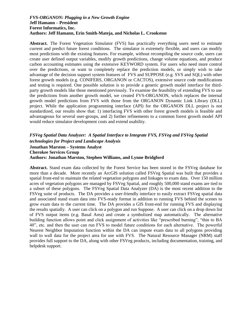#### *FVS-ORGANON: Plugging in a New Growth Engine* **Jeff Hamann – President Forest Informatics, Inc. Authors: Jeff Hamann, Erin Smith-Mateja, and Nicholas L. Crookston**

**Abstract.** The Forest Vegetation Simulator (FVS) has practically everything users need to estimate current and predict future forest conditions. The simulator is extremely flexible, and users can modify most predictions with the existing features. For example, without recompiling the source code, users can create user defined output variables, modify growth predictions, change volume equations, and produce carbon accounting estimates using the extensive KEYWORD system. For users who need more control over the predictions, or want to completely replace the prediction models, or simply wish to take advantage of the decision support system features of FVS and SUPPOSE (e.g. SVS and SQL) with other forest growth models (e.g. CONIFERS, ORGANON or CACTOS), extensive source code modifications and testing is required. One possible solution is to provide a generic growth model interface for thirdparty growth models like those mentioned previously. To examine the feasibility of extending FVS to use the predictions from another growth model, we created FVS-ORGANON, which replaces the internal growth model predictions from FVS with those from the ORGANON Dynamic Link Library (DLL) project. While the application programming interface (API) for the ORGANON DLL project is not standardized, our results show that: 1) interfacing FVS with other forest growth models is feasible and advantageous for several user-groups, and 2) further refinements to a common forest growth model API would reduce simulator development costs and extend usability.

*FSVeg Spatial Data Analyzer: A Spatial Interface to Integrate FVS, FSVeg and FSVeg Spatial technologies for Project and Landscape Analysis* **Jonathan Marston – Systems Analyst Cherokee Services Group Authors: Jonathan Marston, Stephen Williams, and Lynne Bridgford**

**Abstract.** Stand exam data collected by the Forest Service has been stored in the FSVeg database for more than a decade. More recently an ArcGIS solution called FSVeg Spatial was built that provides a spatial front-end to maintain the related vegetation polygons and linkages to exam data. Over 150 million acres of vegetation polygons are managed by FSVeg Spatial, and roughly 500,000 stand exams are tied to a subset of these polygons. The FSVeg Spatial Data Analyzer (DA) is the most recent addition to the FSVeg suite of products. The DA provides a user-friendly interface to easily extract FSVeg spatial data and associated stand exam data into FVS-ready format in addition to running FVS behind the scenes to grow exam data to the current time. The DA provides a GIS front-end for running FVS and displaying the results spatially. A user can click on a polygon and run Suppose. A user can click on a drop down list of FVS output items (e.g. Basal Area) and create a symbolized map automatically. The alternative building function allows point and click assignment of activities like "prescribed burning", "thin to BA 40", etc. and then the user can run FVS to model future conditions for each alternative. The powerful Nearest Neighbor Imputation function within the DA can impute exam data to all polygons providing wall to wall data for the project area for use with FVS. The Natural Resource Manager (NRM) staff provides full support to the DA, along with other FSVeg products, including documentation, training, and helpdesk support.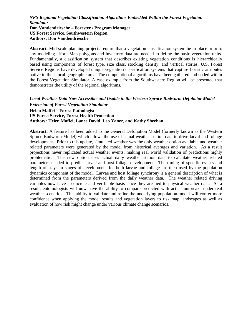#### *NFS Regional Vegetation Classification Algorithms Embedded Within the Forest Vegetation Simulator* **Don Vandendriesche – Forester / Program Manager US Forest Service, Southwestern Region Authors: Don Vandendriesche**

**Abstract.** Mid-scale planning projects require that a vegetation classification system be in-place prior to any modeling effort. Map polygons and inventory data are needed to define the basic vegetation units. Fundamentally, a classification system that describes existing vegetation conditions is hierarchically based using components of forest type, size class, stocking density, and vertical stories. U.S. Forest Service Regions have developed unique vegetation classification systems that capture floristic attributes native to their local geographic area. The computational algorithms have been gathered and coded within the Forest Vegetation Simulator. A case example from the Southwestern Region will be presented that demonstrates the utility of the regional algorithms.

#### *Local Weather Data Now Accessible and Usable in the Western Spruce Budworm Defoliator Model Extension of Forest Vegetation Simulator* **Helen Maffei – Forest Pathologist US Forest Service, Forest Health Protection Authors: Helen Maffei, Lance David, Leo Yanez, and Kathy Sheehan**

**Abstract.** A feature has been added to the General Defoliation Model (formerly known as the Western Spruce Budworm Model) which allows the use of actual weather station data to drive larval and foliage development. Prior to this update, simulated weather was the only weather option available and weather related parameters were generated by the model from historical averages and variation. As a result projections never replicated actual weather events; making real world validation of predictions highly problematic. The new option uses actual daily weather station data to calculate weather related parameters needed to predict larvae and host foliage development. The timing of specific events and length of stays in stages of development for both larvae and foliage are then used by the population dynamics component of the model. Larvae and host foliage synchrony is a general description of what is determined from the parameters derived from the daily weather data. The weather related driving variables now have a concrete and verifiable basis since they are tied to physical weather data. As a result, entomologists will now have the ability to compare predicted with actual outbreaks under real weather scenarios. This ability to validate and refine the underlying population model will confer more confidence when applying the model results and vegetation layers to risk map landscapes as well as evaluation of how risk might change under various climate change scenarios.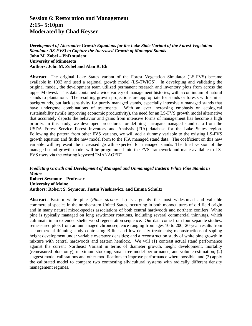## **Session 6: Restoration and Management 2:15– 5:10pm Moderated by Chad Keyser**

*Development of Alternative Growth Equations for the Lake State Variant of the Forest Vegetation Simulator (lS-FVS) to Capture the Increased Growth of Managed Stands* **John M. Zobel – PhD student University of Minnesota Authors: John M. Zobel and Alan R. Ek**

**Abstract.** The original Lake States variant of the Forest Vegetation Simulator (LS-FVS) became available in 1993 and used a regional growth model (LS-TWIGS). In developing and validating the original model, the development team utilized permanent research and inventory plots from across the upper Midwest. This data contained a wide variety of management histories, with a continuum of natural stands to plantations. The resulting growth projections are appropriate for stands or forests with similar backgrounds, but lack sensitivity for purely managed stands, especially intensively managed stands that have undergone combinations of treatments. With an ever increasing emphasis on ecological sustainability (while improving economic productivity), the need for an LS-FVS growth model alternative that accurately depicts the behavior and gains from intensive forms of management has become a high priority. In this study, we developed procedures for defining surrogate managed stand data from the USDA Forest Service Forest Inventory and Analysis (FIA) database for the Lake States region. Following the pattern from other FVS variants, we will add a dummy variable to the existing LS-FVS growth equation and fit the new model form to the FIA managed stand data. The coefficient on this new variable will represent the increased growth expected for managed stands. The final version of the managed stand growth model will be programmed into the FVS framework and made available to LS-FVS users via the existing keyword "MANAGED".

#### *Predicting Growth and Development of Managed and Unmanaged Eastern White Pine Stands in Maine* **Robert Seymour – Professor University of Maine Authors: Robert S. Seymour, Justin Waskiewicz, and Emma Schultz**

**Abstract.** Eastern white pine (*Pinus strobus* L.) is arguably the most widespread and valuable commercial species in the northeastern United States, occurring in both monocultures of old-field origin and in many natural mixed-species associations of both central hardwoods and northern conifers. White pine is typically managed on long sawtimber rotations, including several commercial thinnings, which culminate in an extended shelterwood regeneration sequence. Our data come from four separate studies: remeasured plots from an unmanaged chronosequence ranging from ages 10 to 200; 20-year results from a commercial thinning study contrasting B-line and low-density treatments; reconstructions of sapling height development under variable overstory densities; and a reconstruction study of white pine growth in mixture with central hardwoods and eastern hemlock. We will (1) contrast actual stand performance against the current Northeast Variant in terms of diameter growth, height development, mortality (remeasured plots only), maximum stocking, small-tree model performance, and volume estimation; (2) suggest model calibrations and other modifications to improve performance where possible; and (3) apply the calibrated model to compare two contrasting silvicultural systems with radically different density management regimes.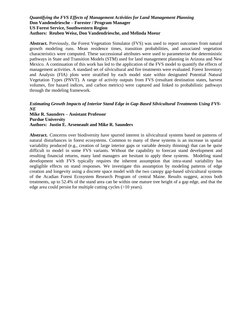#### *Quantifying the FVS Effects of Management Activities for Land Management Planning* **Don Vandendriesche – Forester / Program Manager US Forest Service, Southwestern Region Authors: Reuben Weisz, Don Vandendriesche, and Melinda Moeur**

**Abstract.** Previously, the Forest Vegetation Simulator (FVS) was used to report outcomes from natural growth modeling runs. Mean residence times, transition probabilities, and associated vegetation characteristics were computed. These successional attributes were used to parameterize the deterministic pathways in State and Transition Models (STM) used for land management planning in Arizona and New Mexico. A continuation of this work has led to the application of the FVS model to quantify the effects of management activities. A standard set of silvicultural and fire treatments were evaluated. Forest Inventory and Analysis (FIA) plots were stratified by each model state within designated Potential Natural Vegetation Types (PNVT). A range of activity outputs from FVS (resultant destination states, harvest volumes, fire hazard indices, and carbon metrics) were captured and linked to probabilistic pathways through the modeling framework.

#### *Estimating Growth Impacts of Interior Stand Edge in Gap-Based Silvicultural Treatments Using FVS-NE*

**Mike R. Saunders – Assistant Professor Purdue University Authors: Justin E. Arseneault and Mike R. Saunders**

**Abstract.** Concerns over biodiversity have spurred interest in silvicultural systems based on patterns of natural disturbances in forest ecosystems. Common to many of these systems is an increase in spatial variability produced (e.g., creation of large interior gaps or variable density thinning) that can be quite difficult to model in some FVS variants. Without the capability to forecast stand development and resulting financial returns, many land managers are hesitant to apply these systems. Modeling stand development with FVS typically requires the inherent assumption that intra-stand variability has negligible effects on stand responses. We investigate this assumption by modeling patterns of edge creation and longevity using a discrete space model with the two canopy gap-based silvicultural systems of the Acadian Forest Ecosystem Research Program of central Maine. Results suggest, across both treatments, up to 52.4% of the stand area can be within one mature tree height of a gap edge, and that the edge area could persist for multiple cutting cycles (>10 years).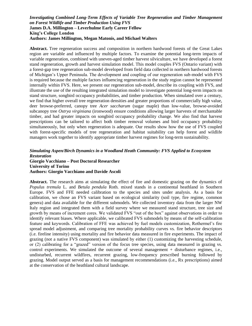#### *Investigating Combined Long-Term Effects of Variable Tree Regeneration and Timber Management on Forest Wildlife and Timber Production Using FVS* **James D.A. Millington – Leverhulme Early Career Fellow King's College London Authors: James Millington, Megan Matonis, and Michael Walters**

**Abstract.** Tree regeneration success and composition in northern hardwood forests of the Great Lakes region are variable and influenced by multiple factors. To examine the potential long-term impacts of variable regeneration, combined with uneven-aged timber harvest silviculture, we have developed a forest stand regeneration, growth and harvest simulation model. This model couples FVS (Ontario variant) with a forest-gap tree regeneration sub-model developed from field data collected in northern hardwood forests of Michigan's Upper Peninsula. The development and coupling of our regeneration sub-model with FVS is required because the multiple factors influencing regeneration in the study region cannot be represented internally within FVS. Here, we present our regeneration sub-model, describe its coupling with FVS, and illustrate the use of the resulting integrated simulation model to investigate potential long-term impacts on stand structure, songbird occupancy probabilities, and timber production. When simulated over a century, we find that higher overall tree regeneration densities and greater proportions of commercially high value, deer browse-preferred, canopy tree *Acer saccharum* (sugar maple) than low-value, browse-avoided subcanopy tree *Ostrya virginiana* (ironwood) ensure conditions allowing larger harvests of merchantable timber, and had greater impacts on songbird occupancy probability change. We also find that harvest prescriptions can be tailored to affect both timber removal volumes and bird occupancy probability simultaneously, but only when regeneration is adequate. Our results show how the use of FVS coupled with forest-specific models of tree regeneration and habitat suitability can help forest and wildlife managers work together to identify appropriate timber harvest regimes for long-term sustainability.

#### *Simulating Aspen/Birch Dynamics in a Woodland Heath Community: FVS Applied to Ecosystem Restoration* **Giorgio Vacchiano – Post Doctoral Researcher University of Torino Authors: Giorgio Vacchiano and Davide Ascoli**

**Abstract.** The research aims at simulating the effect of fire and domestic grazing on the dynamics of *Populus tremula* L. and *Betula pendula* Roth. mixed stands in a continental heathland in Southern Europe. FVS and FFE needed calibration to the species and sites under analysis. As a basis for calibration, we chose an FVS variant based on ecological similarity (soil type, fire regime, common genera) and data available for the different submodels. We collected inventory data from the larger NW Italy region and integrated them with a field survey where we measured stand structure, tree size and growth by means of increment cores. We validated FVS "out of the box" against observations in order to identify relevant biases. Where applicable, we calibrated FVS submodels by means of the self-calibration feature and keywords. Calibration of FFE was achieved by fuel models customization, Rothermel's fire spread model adjustment, and comparing tree mortality probability curves vs. fire behavior descriptors (i.e. fireline intensity) using mortality and fire behavior data measured in fire experiments. The impact of grazing (not a native FVS component) was simulated by either (1) customizing the harvesting schedule, or (2) calibrating for a "grazed" version of the focus tree species, using data measured in grazing vs. control experiments. We simulated the outcome of several management + disturbance regimes, i.e., undisturbed, recurrent wildfires, recurrent grazing, low-frequency prescribed burning followed by grazing. Model output served as a basis for management recommendations (i.e., Rx prescriptions) aimed at the conservation of the heathland cultural landscape.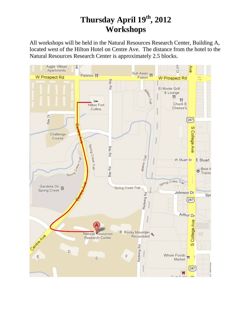# **Thursday April 19 th, 2012 Workshops**

All workshops will be held in the Natural Resources Research Center, Building A, located west of the Hilton Hotel on Centre Ave. The distance from the hotel to the Natural Resources Research Center is approximately 2.5 blocks.

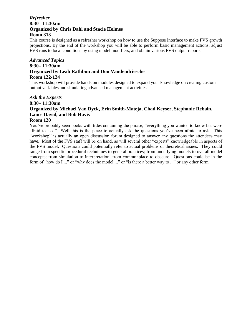#### *Refresher*  **8:30– 11:30am Organized by Chris Dahl and Stacie Holmes Room 313**

This course is designed as a refresher workshop on how to use the Suppose Interface to make FVS growth projections. By the end of the workshop you will be able to perform basic management actions, adjust FVS runs to local conditions by using model modifiers, and obtain various FVS output reports.

#### *Advanced Topics* **8:30– 11:30am Organized by Leah Rathbun and Don Vandendriesche Room 122-124**

This workshop will provide hands on modules designed to expand your knowledge on creating custom output variables and simulating advanced management activities.

#### *Ask the Experts* **8:30– 11:30am Organized by Michael Van Dyck, Erin Smith-Mateja, Chad Keyser, Stephanie Rebain, Lance David, and Bob Havis Room 120**

You've probably seen books with titles containing the phrase, "everything you wanted to know but were afraid to ask." Well this is the place to actually ask the questions you've been afraid to ask. This "workshop" is actually an open discussion forum designed to answer any questions the attendees may have. Most of the FVS staff will be on hand, as will several other "experts" knowledgeable in aspects of the FVS model. Questions could potentially refer to actual problems or theoretical issues. They could range from specific procedural techniques to general practices; from underlying models to overall model concepts; from simulation to interpretation; from commonplace to obscure. Questions could be in the form of "how do I ..." or "why does the model ..." or "is there a better way to ..." or any other form.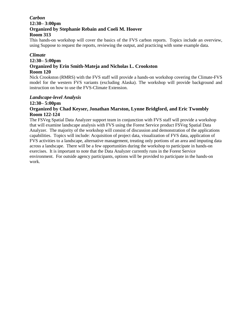#### *Carbon* **12:30– 3:00pm Organized by Stephanie Rebain and Coeli M. Hoover Room 313**

This hands-on workshop will cover the basics of the FVS carbon reports. Topics include an overview, using Suppose to request the reports, reviewing the output, and practicing with some example data.

#### *Climate*

### **12:30– 5:00pm Organized by Erin Smith-Mateja and Nicholas L. Crookston Room 120**

Nick Crookston (RMRS) with the FVS staff will provide a hands-on workshop covering the Climate-FVS model for the western FVS variants (excluding Alaska). The workshop will provide background and instruction on how to use the FVS-Climate Extension.

#### *Landscape-level Analysis*

#### **12:30– 5:00pm Organized by Chad Keyser, Jonathan Marston, Lynne Bridgford, and Eric Twombly Room 122-124**

The FSVeg Spatial Data Analyzer support team in conjunction with FVS staff will provide a workshop that will examine landscape analysis with FVS using the Forest Service product FSVeg Spatial Data Analyzer. The majority of the workshop will consist of discussion and demonstration of the applications capabilities. Topics will include: Acquisition of project data, visualization of FVS data, application of FVS activities to a landscape, alternative management, treating only portions of an area and imputing data across a landscape. There will be a few opportunities during the workshop to participate in hands-on exercises. It is important to note that the Data Analyzer currently runs in the Forest Service environment. For outside agency participants, options will be provided to participate in the hands-on work.